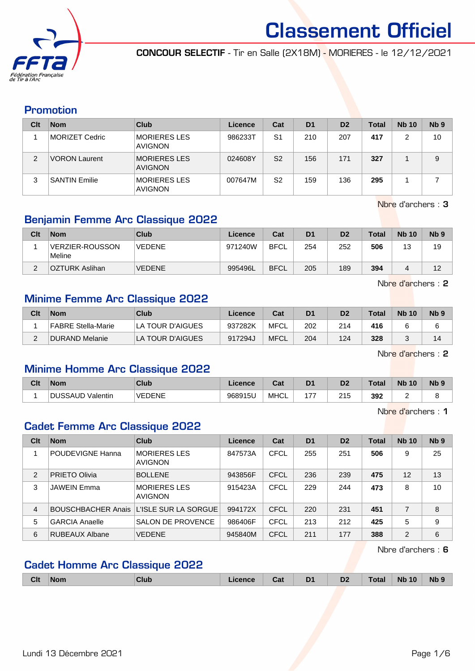

CONCOUR SELECTIF - Tir en Salle (2X18M) - MORIERES - le 12/12/2021

#### Promotion

| Clt | <b>Nom</b>           | Club                                  | Licence | Cat            | D <sub>1</sub> | D <sub>2</sub> | <b>Total</b> | <b>Nb 10</b> | N <sub>b</sub> <sub>9</sub> |
|-----|----------------------|---------------------------------------|---------|----------------|----------------|----------------|--------------|--------------|-----------------------------|
|     | MORIZET Cedric       | <b>MORIERES LES</b><br><b>AVIGNON</b> | 986233T | S <sub>1</sub> | 210            | 207            | 417          |              | 10                          |
| 2   | <b>VORON Laurent</b> | <b>MORIERES LES</b><br><b>AVIGNON</b> | 024608Y | S <sub>2</sub> | 156            | 171            | 327          |              | 9                           |
|     | <b>SANTIN Emilie</b> | MORIERES LES<br><b>AVIGNON</b>        | 007647M | S <sub>2</sub> | 159            | 136            | 295          |              |                             |

Nbre d'archers : 3

### Benjamin Femme Arc Classique 2022

| Clt | <b>Nom</b>                 | Club          | Licence | Cat         | D <sub>1</sub> | D <sub>2</sub> | <b>Total</b> | <b>Nb 10</b> | N <sub>b</sub> <sub>9</sub> |
|-----|----------------------------|---------------|---------|-------------|----------------|----------------|--------------|--------------|-----------------------------|
|     | VERZIER-ROUSSON!<br>Meline | <b>VEDENE</b> | 971240W | <b>BFCL</b> | 254            | 252            | 506          | 13           | 19                          |
|     | <b>OZTURK Aslihan</b>      | <b>VEDENE</b> | 995496L | <b>BFCL</b> | 205            | 189            | 394          | 4            | 12                          |

Nbre d'archers : 2

#### Minime Femme Arc Classique 2022

| Clt | <b>Nom</b>         | Club             | Licence | Cat         | D <sub>1</sub> | D <sub>2</sub> | <b>Total</b> | <b>Nb 10</b> | N <sub>b</sub> <sub>9</sub> |
|-----|--------------------|------------------|---------|-------------|----------------|----------------|--------------|--------------|-----------------------------|
|     | FABRE Stella-Marie | LA TOUR D'AIGUES | 937282K | MFCL        | 202            | 214            | 416          |              |                             |
|     | DURAND Melanie     | LA TOUR D'AIGUES | 917294J | <b>MFCL</b> | 204            | 124            | 328          |              | 14                          |

Nbre d'archers : 2

#### Minime Homme Arc Classique 2022

| Clt | <b>Nom</b>                  | Club          | Licence | ົີີ່<br>ua  | D <sub>1</sub> | n <sub>o</sub><br>ש | <b>Total</b> | <b>Nb</b><br>10 | N <sub>b</sub> <sub>9</sub> |
|-----|-----------------------------|---------------|---------|-------------|----------------|---------------------|--------------|-----------------|-----------------------------|
|     | <b>IDUSSAUP</b><br>Valentin | <b>VEDENE</b> | 968915U | <b>MHCL</b> | $\rightarrow$  | つイに<br>$\sim$       | 392<br>$ -$  |                 |                             |

Nbre d'archers : 1

#### Cadet Femme Arc Classique 2022

| Clt | <b>Nom</b>            | Club                                   | Licence | Cat         | D <sub>1</sub> | D <sub>2</sub> | <b>Total</b> | <b>Nb 10</b>   | N <sub>b</sub> <sub>9</sub> |
|-----|-----------------------|----------------------------------------|---------|-------------|----------------|----------------|--------------|----------------|-----------------------------|
|     | POUDEVIGNE Hanna      | <b>MORIERES LES</b><br><b>AVIGNON</b>  | 847573A | <b>CFCL</b> | 255            | 251            | 506          | 9              | 25                          |
| 2   | <b>PRIETO Olivia</b>  | <b>BOLLENE</b>                         | 943856F | <b>CFCL</b> | 236            | 239            | 475          | 12             | 13                          |
| 3   | <b>JAWEIN Emma</b>    | <b>MORIERES LES</b><br><b>AVIGNON</b>  | 915423A | CFCL        | 229            | 244            | 473          | 8              | 10                          |
| 4   |                       | BOUSCHBACHER Anais LUSLE SUR LA SORGUE | 994172X | <b>CFCL</b> | 220            | 231            | 451          | 7              | 8                           |
| 5   | <b>GARCIA Anaelle</b> | <b>SALON DE PROVENCE</b>               | 986406F | <b>CFCL</b> | 213            | 212            | 425          | 5              | 9                           |
| 6   | RUBEAUX Albane        | <b>VEDENE</b>                          | 945840M | <b>CFCL</b> | 211            | 177            | 388          | $\overline{2}$ | 6                           |

Nbre d'archers : 6

#### Cadet Homme Arc Classique 2022

|  | <b>Clt</b> | <b>Nom</b><br>. | <b>Club</b> | cence | Cat | <b>DA</b><br>- - | D <sub>2</sub> | Γotal | 10<br><b>N<sub>b</sub></b><br>___ | <b>Nb</b> |
|--|------------|-----------------|-------------|-------|-----|------------------|----------------|-------|-----------------------------------|-----------|
|--|------------|-----------------|-------------|-------|-----|------------------|----------------|-------|-----------------------------------|-----------|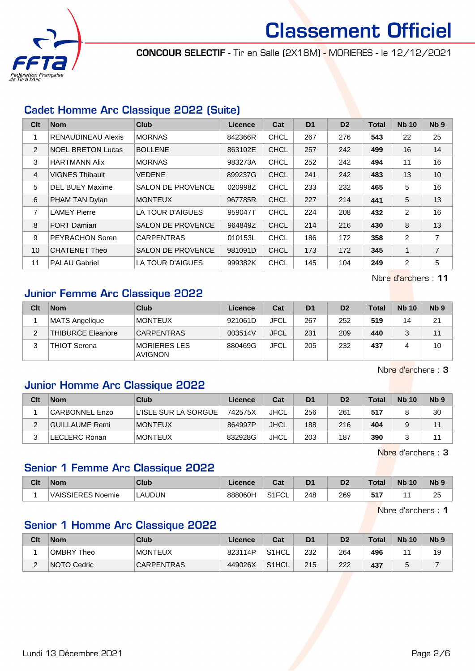

CONCOUR SELECTIF - Tir en Salle (2X18M) - MORIERES - le 12/12/2021

#### Cadet Homme Arc Classique 2022 (Suite)

| Clt            | <b>Nom</b>                | <b>Club</b>              | <b>Licence</b> | Cat         | D <sub>1</sub> | D <sub>2</sub> | <b>Total</b> | <b>Nb 10</b>   | N <sub>b</sub> <sub>9</sub> |
|----------------|---------------------------|--------------------------|----------------|-------------|----------------|----------------|--------------|----------------|-----------------------------|
|                | <b>RENAUDINEAU Alexis</b> | <b>MORNAS</b>            | 842366R        | <b>CHCL</b> | 267            | 276            | 543          | 22             | 25                          |
| 2              | <b>NOEL BRETON Lucas</b>  | <b>BOLLENE</b>           | 863102E        | <b>CHCL</b> | 257            | 242            | 499          | 16             | 14                          |
| 3              | <b>HARTMANN Alix</b>      | <b>MORNAS</b>            | 983273A        | <b>CHCL</b> | 252            | 242            | 494          | 11             | 16                          |
| $\overline{4}$ | <b>VIGNES Thibault</b>    | <b>VEDENE</b>            | 899237G        | <b>CHCL</b> | 241            | 242            | 483          | 13             | 10                          |
| 5              | <b>DEL BUEY Maxime</b>    | <b>SALON DE PROVENCE</b> | 020998Z        | <b>CHCL</b> | 233            | 232            | 465          | 5              | 16                          |
| 6              | PHAM TAN Dylan            | <b>MONTEUX</b>           | 967785R        | <b>CHCL</b> | 227            | 214            | 441          | 5              | 13                          |
| $\overline{7}$ | <b>LAMEY Pierre</b>       | LA TOUR D'AIGUES         | 959047T        | <b>CHCL</b> | 224            | 208            | 432          | 2              | 16                          |
| 8              | <b>FORT Damian</b>        | SALON DE PROVENCE        | 964849Z        | <b>CHCL</b> | 214            | 216            | 430          | 8              | 13                          |
| 9              | <b>PEYRACHON Soren</b>    | <b>CARPENTRAS</b>        | 010153L        | <b>CHCL</b> | 186            | 172            | 358          | $\overline{2}$ | 7                           |
| 10             | <b>CHATENET Theo</b>      | <b>SALON DE PROVENCE</b> | 981091D        | <b>CHCL</b> | 173            | 172            | 345          | 1              | $\overline{7}$              |
| 11             | <b>PALAU Gabriel</b>      | LA TOUR D'AIGUES         | 999382K        | <b>CHCL</b> | 145            | 104            | 249          | 2              | 5                           |

Nbre d'archers : 11

#### Junior Femme Arc Classique 2022

| Clt | <b>Nom</b>               | Club                                  | <b>Licence</b> | Cat         | D <sub>1</sub> | D <sub>2</sub> | <b>Total</b> | <b>Nb 10</b> | N <sub>b</sub> <sub>9</sub> |
|-----|--------------------------|---------------------------------------|----------------|-------------|----------------|----------------|--------------|--------------|-----------------------------|
|     | MATS Angelique           | <b>MONTEUX</b>                        | 921061D        | JFCL        | 267            | 252            | 519          | 14           | 21                          |
| ົ   | <b>THIBURCE Eleanore</b> | <b>CARPENTRAS</b>                     | 003514V        | <b>JFCL</b> | 231            | 209            | 440          | 2            | 11                          |
| っ   | <b>THIOT Serena</b>      | <b>MORIERES LES</b><br><b>AVIGNON</b> | 880469G        | JFCL        | 205            | 232            | 437          |              | 10                          |

Nbre d'archers : 3

#### Junior Homme Arc Classique 2022

| Clt | <b>Nom</b>     | Club                 | Licence | Cat         | D <sub>1</sub> | D <sub>2</sub> | Total | <b>Nb 10</b> | N <sub>b</sub> <sub>9</sub> |
|-----|----------------|----------------------|---------|-------------|----------------|----------------|-------|--------------|-----------------------------|
|     | CARBONNEL Enzo | L'ISLE SUR LA SORGUE | 742575X | JHCL        | 256            | 261            | 517   |              | 30                          |
|     | GUILLAUME Remi | <b>MONTEUX</b>       | 864997P | <b>JHCL</b> | 188            | 216            | 404   |              | 44                          |
|     | ∟ECLERC Ronan  | <b>MONTEUX</b>       | 832928G | <b>JHCL</b> | 203            | 187            | 390   |              | 44                          |

Nbre d'archers : 3

#### Senior 1 Femme Arc Classique 2022

| Clt | <b>Nom</b>        | Club   | ∠icence | ◠⌒ィ<br>ual             | D <sub>1</sub> | D <sub>0</sub> | Total           | <b>N<sub>b</sub></b><br>10 | <b>N<sub>b</sub></b> |
|-----|-------------------|--------|---------|------------------------|----------------|----------------|-----------------|----------------------------|----------------------|
|     | VAISSIERES Noemie | LAUDUN | 888060H | 0.4501<br>'⊤ا`ت<br>−ບ∟ | 248            | 269            | <b>EA7</b><br>J |                            | つら<br>ںے             |

Nbre d'archers : 1

#### Senior 1 Homme Arc Classique 2022

| Clt | <b>Nom</b>         | Club              | Licence | Cat     | D <sub>1</sub> | D2  | Total | <b>Nb 10</b> | N <sub>b</sub> <sub>9</sub> |
|-----|--------------------|-------------------|---------|---------|----------------|-----|-------|--------------|-----------------------------|
|     | OMBRY Theo         | <b>MONTEUX</b>    | 823114P | S1HCL   | 232            | 264 | 496   |              | 19                          |
| -   | <b>NOTO Cedric</b> | <b>CARPENTRAS</b> | 449026X | S1HCL * | 215            | 222 | 437   | ັ            |                             |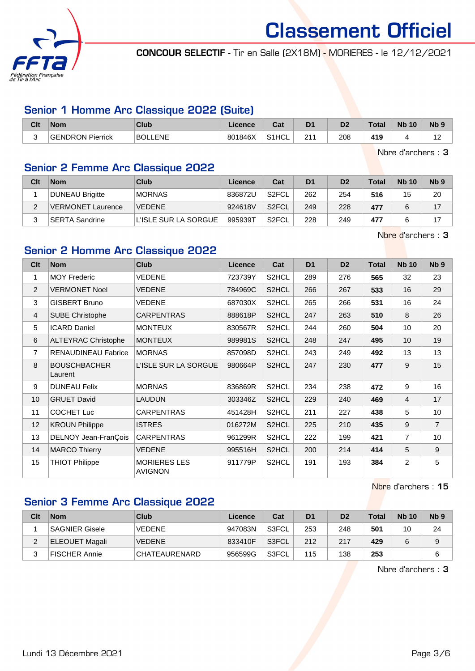

CONCOUR SELECTIF - Tir en Salle (2X18M) - MORIERES - le 12/12/2021

#### Senior 1 Homme Arc Classique 2022 (Suite)

| Clt | <b>Nom</b>              | Club           | ∠icence | יה<br>⊍αι          | D <sub>1</sub> | D <sub>2</sub> | Total | <b>N<sub>b</sub></b><br>10 | N <sub>b</sub> <sub>9</sub> |
|-----|-------------------------|----------------|---------|--------------------|----------------|----------------|-------|----------------------------|-----------------------------|
| ∽   | <b>GENDRON Pierrick</b> | <b>BOLLENE</b> | 801846X | S <sub>1</sub> HCL | 044            | 208            | 419   |                            | $\overline{ }$<br>. .       |

Nbre d'archers : 3

## Senior 2 Femme Arc Classique 2022

| Clt | <b>Nom</b>               | Club                 | Licence | Cat                | D <sub>1</sub> | D <sub>2</sub> | Total | <b>Nb 10</b> | N <sub>b</sub> <sub>9</sub> |
|-----|--------------------------|----------------------|---------|--------------------|----------------|----------------|-------|--------------|-----------------------------|
|     | DUNEAU Brigitte          | <b>MORNAS</b>        | 836872U | S <sub>2</sub> FCL | 262            | 254            | 516   | 15           | 20                          |
|     | <b>VERMONET Laurence</b> | <b>VEDENE</b>        | 924618V | S <sub>2</sub> FCL | 249            | 228            | 477   |              | 17                          |
|     | ∣SERTA Sandrine_         | L'ISLE SUR LA SORGUE | 995939T | S <sub>2</sub> FCL | 228            | 249            | 477   |              | 17                          |

Nbre d'archers : 3

#### Senior 2 Homme Arc Classique 2022

| Clt            | <b>Nom</b>                     | <b>Club</b>                           | <b>Licence</b> | Cat                | D <sub>1</sub> | D <sub>2</sub> | <b>Total</b> | <b>Nb 10</b>   | N <sub>b</sub> <sub>9</sub> |
|----------------|--------------------------------|---------------------------------------|----------------|--------------------|----------------|----------------|--------------|----------------|-----------------------------|
| 1              | <b>MOY Frederic</b>            | VEDENE                                | 723739Y        | S2HCL              | 289            | 276            | 565          | 32             | 23                          |
| 2              | <b>VERMONET Noel</b>           | <b>VEDENE</b>                         | 784969C        | S2HCL              | 266            | 267            | 533          | 16             | 29                          |
| 3              | <b>GISBERT Bruno</b>           | <b>VEDENE</b>                         | 687030X        | S2HCL              | 265            | 266            | 531          | 16             | 24                          |
| $\overline{4}$ | <b>SUBE Christophe</b>         | <b>CARPENTRAS</b>                     | 888618P        | S2HCL              | 247            | 263            | 510          | 8              | 26                          |
| 5              | <b>ICARD Daniel</b>            | <b>MONTEUX</b>                        | 830567R        | S2HCL              | 244            | 260            | 504          | 10             | 20                          |
| 6              | <b>ALTEYRAC Christophe</b>     | <b>MONTEUX</b>                        | 989981S        | S2HCL              | 248            | 247            | 495          | 10             | 19                          |
| $\overline{7}$ | <b>RENAUDINEAU Fabrice</b>     | <b>MORNAS</b>                         | 857098D        | S2HCL              | 243            | 249            | 492          | 13             | 13                          |
| 8              | <b>BOUSCHBACHER</b><br>Laurent | L'ISLE SUR LA SORGUE                  | 980664P        | S2HCL              | 247            | 230            | 477          | 9              | 15                          |
| 9              | <b>DUNEAU Felix</b>            | <b>MORNAS</b>                         | 836869R        | S2HCL              | 234            | 238            | 472          | 9              | 16                          |
| 10             | <b>GRUET David</b>             | <b>LAUDUN</b>                         | 303346Z        | S2HCL              | 229            | 240            | 469          | $\overline{4}$ | 17                          |
| 11             | <b>COCHET Luc</b>              | <b>CARPENTRAS</b>                     | 451428H        | S2HCL              | 211            | 227            | 438          | 5              | 10                          |
| 12             | <b>KROUN Philippe</b>          | <b>ISTRES</b>                         | 016272M        | S2HCL              | 225            | 210            | 435          | 9              | $\overline{7}$              |
| 13             | DELNOY Jean-FranÇois           | <b>CARPENTRAS</b>                     | 961299R        | S2HCL              | 222            | 199            | 421          | $\overline{7}$ | 10                          |
| 14             | <b>MARCO Thierry</b>           | VEDENE                                | 995516H        | S2HCL              | 200            | 214            | 414          | 5              | 9                           |
| 15             | <b>THIOT Philippe</b>          | <b>MORIERES LES</b><br><b>AVIGNON</b> | 911779P        | S <sub>2</sub> HCL | 191            | 193            | 384          | 2              | 5                           |

Nbre d'archers : 15

#### Senior 3 Femme Arc Classique 2022

| Clt | <b>Nom</b>            | Club                 | Licence | Cat   | D <sub>1</sub> | D <sub>2</sub> | Total | <b>Nb 10</b> | Nb <sub>9</sub> |
|-----|-----------------------|----------------------|---------|-------|----------------|----------------|-------|--------------|-----------------|
|     | <b>SAGNIER Gisele</b> | <b>VEDENE</b>        | 947083N | S3FCL | 253            | 248            | 501   | 10           | 24              |
|     | ELEOUET Magali        | <b>VEDENE</b>        | 833410F | S3FCL | 212            | 217            | 429   |              |                 |
|     | FISCHER Annie         | <b>CHATEAURENARD</b> | 956599G | S3FCL | 115            | 138            | 253   |              |                 |

Nbre d'archers : 3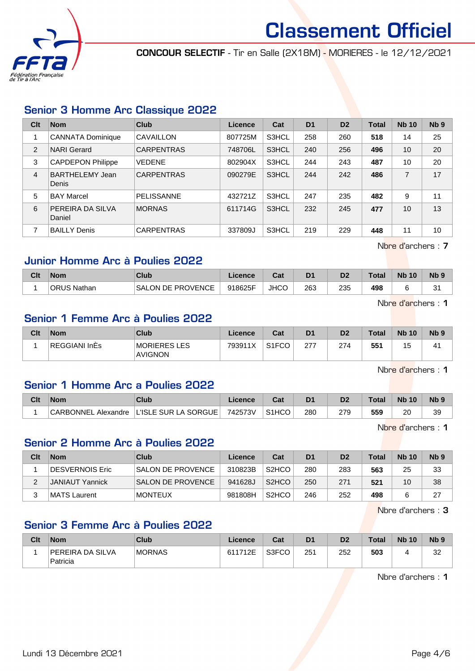

CONCOUR SELECTIF - Tir en Salle (2X18M) - MORIERES - le 12/12/2021

#### Senior 3 Homme Arc Classique 2022

| Clt            | <b>Nom</b>                 | Club              | Licence | Cat   | D <sub>1</sub> | D <sub>2</sub> | <b>Total</b> | <b>Nb 10</b> | Nb <sub>9</sub> |
|----------------|----------------------------|-------------------|---------|-------|----------------|----------------|--------------|--------------|-----------------|
|                | <b>CANNATA Dominique</b>   | CAVAILLON         | 807725M | S3HCL | 258            | 260            | 518          | 14           | 25              |
| $\overline{2}$ | <b>NARI</b> Gerard         | <b>CARPENTRAS</b> | 748706L | S3HCL | 240            | 256            | 496          | 10           | 20              |
| 3              | <b>CAPDEPON Philippe</b>   | <b>VEDENE</b>     | 802904X | S3HCL | 244            | 243            | 487          | 10           | 20              |
| 4              | BARTHELEMY Jean<br>Denis   | <b>CARPENTRAS</b> | 090279E | S3HCL | 244            | 242            | 486          | 7            | 17              |
| 5              | <b>BAY Marcel</b>          | <b>PELISSANNE</b> | 432721Z | S3HCL | 247            | 235            | 482          | 9            | 11              |
| 6              | PEREIRA DA SILVA<br>Daniel | <b>MORNAS</b>     | 611714G | S3HCL | 232            | 245            | 477          | 10           | 13              |
| 7              | <b>BAILLY Denis</b>        | <b>CARPENTRAS</b> | 337809J | S3HCL | 219            | 229            | 448          | 11           | 10              |

Nbre d'archers : 7

#### Junior Homme Arc à Poulies 2022

| Clt | <b>Nom</b>         | Club                   | ∟icence | <b>Cost</b><br>val | D1  | D2  | $\tau$ otal | <b>N<sub>b</sub></b><br>10 | N <sub>b</sub> <sub>9</sub> |
|-----|--------------------|------------------------|---------|--------------------|-----|-----|-------------|----------------------------|-----------------------------|
|     | <b>ORUS Nathan</b> | LON DE PROVENCE<br>SAL | 918625F | <b>JHCO</b>        | 263 | 235 | 498         |                            | ົ<br>ັ                      |

Nbre d'archers : 1

#### Senior 1 Femme Arc à Poulies 2022

| Clt | <b>Nom</b>    | Club                           | Licence | Cat                | D <sub>1</sub> | D <sub>2</sub> | <b>Total</b> | <b>Nb 10</b> | N <sub>b</sub> <sub>9</sub> |
|-----|---------------|--------------------------------|---------|--------------------|----------------|----------------|--------------|--------------|-----------------------------|
|     | REGGIANI InEs | MORIERES LES<br><b>AVIGNON</b> | 793911X | S <sub>1</sub> FCO | 277<br>ے       | 274            | 551          | . ب          | 41                          |

Nbre d'archers : 1

#### Senior 1 Homme Arc a Poulies 2022

| Clt | <b>Nom</b>             | Club                 | Licence |                    | D1  |     | $\tau$ otal | <b>N<sub>b</sub></b><br>10 | N <sub>b</sub> <sub>9</sub> |
|-----|------------------------|----------------------|---------|--------------------|-----|-----|-------------|----------------------------|-----------------------------|
|     | CARBONNEL<br>Alexandre | L'ISLE SUR LA SORGUE | 742573V | S <sub>1</sub> HCO | 280 | 279 | 559         | 20                         | 39                          |

Nbre d'archers : 1

#### Senior 2 Homme Arc à Poulies 2022

| Clt | <b>Nom</b>       | Club                     | Licence | Cat                            | D <sub>1</sub> | D <sub>2</sub> | $\tau$ otal | <b>Nb 10</b> | N <sub>b</sub> <sub>9</sub> |
|-----|------------------|--------------------------|---------|--------------------------------|----------------|----------------|-------------|--------------|-----------------------------|
|     | ∣DESVERNOIS Eric | <b>SALON DE PROVENCE</b> | 310823B | S <sub>2</sub> H <sub>CO</sub> | 280            | 283            | 563         | 25           | 33                          |
|     | JANIAUT Yannick  | <b>SALON DE PROVENCE</b> | 941628J | S <sub>2</sub> HCO             | 250            | 271            | 521         | 10           | 38                          |
|     | MATS Laurent     | <b>MONTEUX</b>           | 981808H | S <sub>2</sub> HCO             | 246            | 252            | 498         |              | 27                          |

Nbre d'archers : 3

#### Senior 3 Femme Arc à Poulies 2022

| Clt | <b>Nom</b>                   | Club          | ∟icence∴ | Cat   | D <sub>1</sub> | D <sub>2</sub> | <b>Total</b> | <b>Nb 10</b> | N <sub>b</sub> <sub>9</sub> |
|-----|------------------------------|---------------|----------|-------|----------------|----------------|--------------|--------------|-----------------------------|
|     | PEREIRA DA SILVA<br>Patricia | <b>MORNAS</b> | 611712E  | S3FCO | 251            | 252            | 503          |              | າາ<br>ےں                    |

Nbre d'archers : 1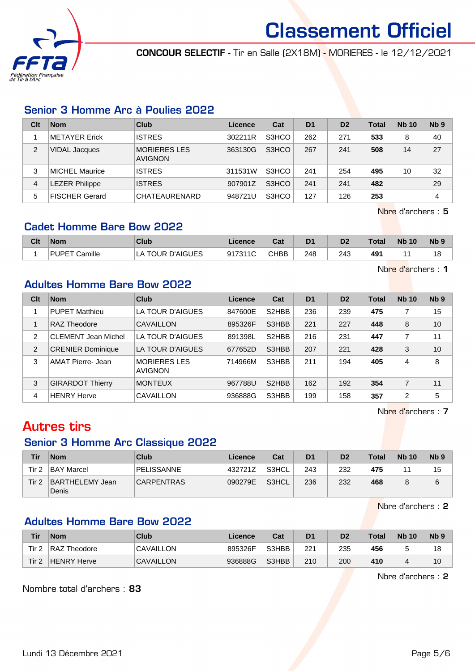

CONCOUR SELECTIF - Tir en Salle (2X18M) - MORIERES - le 12/12/2021

#### Senior 3 Homme Arc à Poulies 2022

| Clt | <b>Nom</b>            | Club                                  | Licence | Cat   | D <sub>1</sub> | D <sub>2</sub> | <b>Total</b> | <b>Nb 10</b> | N <sub>b</sub> <sub>9</sub> |
|-----|-----------------------|---------------------------------------|---------|-------|----------------|----------------|--------------|--------------|-----------------------------|
|     | <b>METAYER Erick</b>  | <b>ISTRES</b>                         | 302211R | S3HCO | 262            | 271            | 533          | 8            | 40                          |
| 2   | VIDAL Jacques         | <b>MORIERES LES</b><br><b>AVIGNON</b> | 363130G | S3HCO | 267            | 241            | 508          | 14           | 27                          |
| 3   | <b>MICHEL Maurice</b> | <b>ISTRES</b>                         | 311531W | S3HCO | 241            | 254            | 495          | 10           | 32                          |
| 4   | <b>EZER Philippe</b>  | <b>ISTRES</b>                         | 907901Z | S3HCO | 241            | 241            | 482          |              | 29                          |
| 5   | <b>FISCHER Gerard</b> | CHATEAURENARD                         | 948721U | S3HCO | 127            | 126            | 253          |              | 4                           |

Nbre d'archers : 5

Nbre d'archers : 1

#### Cadet Homme Bare Bow 2022

| Clt | <b>Nom</b>              | Club                       | Licence               | r.,<br>val  | D <sub>1</sub> | D <sub>2</sub> | <b>Total</b>    | <b>N<sub>b</sub></b><br>10 | N <sub>b</sub> s |
|-----|-------------------------|----------------------------|-----------------------|-------------|----------------|----------------|-----------------|----------------------------|------------------|
|     | Camille<br><b>PUPET</b> | <b>TOUR D'AIGUES</b><br>LΑ | 017311C<br>- 12<br>ັບ | <b>CHBB</b> | 248            | 243            | 49 <sup>4</sup> |                            | 18               |

Adultes Homme Bare Bow 2022

| Clt           | <b>Nom</b>                 | Club                                  | Licence | Cat                | D <sub>1</sub> | D <sub>2</sub> | <b>Total</b> | <b>Nb 10</b>   | Nb <sub>9</sub> |
|---------------|----------------------------|---------------------------------------|---------|--------------------|----------------|----------------|--------------|----------------|-----------------|
|               | <b>PUPET Matthieu</b>      | LA TOUR D'AIGUES                      | 847600E | S <sub>2</sub> HBB | 236            | 239            | 475          | 7              | 15              |
|               | RAZ Theodore               | CAVAILLON                             | 895326F | S3HBB              | 221            | 227            | 448          | 8              | 10              |
| $\mathcal{P}$ | <b>CLEMENT Jean Michel</b> | LA TOUR D'AIGUES                      | 891398L | S <sub>2</sub> HBB | 216            | 231            | 447          | 7              | 11              |
| 2             | <b>CRENIER Dominique</b>   | LA TOUR D'AIGUES                      | 677652D | S3HBB              | 207            | 221            | 428          | 3              | 10              |
| 3             | AMAT Pierre- Jean          | <b>MORIERES LES</b><br><b>AVIGNON</b> | 714966M | S3HBB              | 211            | 194            | 405          | 4              | 8               |
| 3             | <b>GIRARDOT Thierry</b>    | <b>MONTEUX</b>                        | 967788U | S <sub>2</sub> HBB | 162            | 192            | 354          | $\overline{7}$ | 11              |
| 4             | <b>HENRY Herve</b>         | CAVAILLON                             | 936888G | S3HBB              | 199            | 158            | 357          | $\overline{2}$ | 5               |

Nbre d'archers : 7

## Autres tirs

#### Senior 3 Homme Arc Classique 2022

| Tir   | <b>Nom</b>               | Club              | Licence | Cat   | D <sub>1</sub> | D <sub>2</sub> | <b>Total</b> | <b>Nb 10</b> | N <sub>b</sub> <sub>9</sub> |
|-------|--------------------------|-------------------|---------|-------|----------------|----------------|--------------|--------------|-----------------------------|
| Tir 2 | <b>BAY Marcel</b>        | <b>PELISSANNE</b> | 432721Z | S3HCL | 243            | 232            | 475          |              | 15                          |
| Tir 2 | BARTHELEMY Jean<br>Denis | <b>CARPENTRAS</b> | 090279E | S3HCL | 236            | 232            | 468          |              | 6                           |

Nbre d'archers : 2

#### Adultes Homme Bare Bow 2022

| Tir   | <b>Nom</b>   | Club             | ∟icence⊦ | Cat   | D <sub>1</sub> | D <sub>2</sub> | <b>Total</b> | <b>Nb 10</b> | N <sub>b</sub> <sub>9</sub> |
|-------|--------------|------------------|----------|-------|----------------|----------------|--------------|--------------|-----------------------------|
| Tir 2 | RAZ Theodore | CAVAILLON        | 895326F  | S3HBB | 221            | 235            | 456          |              | 18                          |
| Tir 2 | HENRY Herve  | <b>CAVAILLON</b> | 936888G  | S3HBB | 210            | 200            | 410          |              | 10                          |

Nbre d'archers : 2

Nombre total d'archers : 83